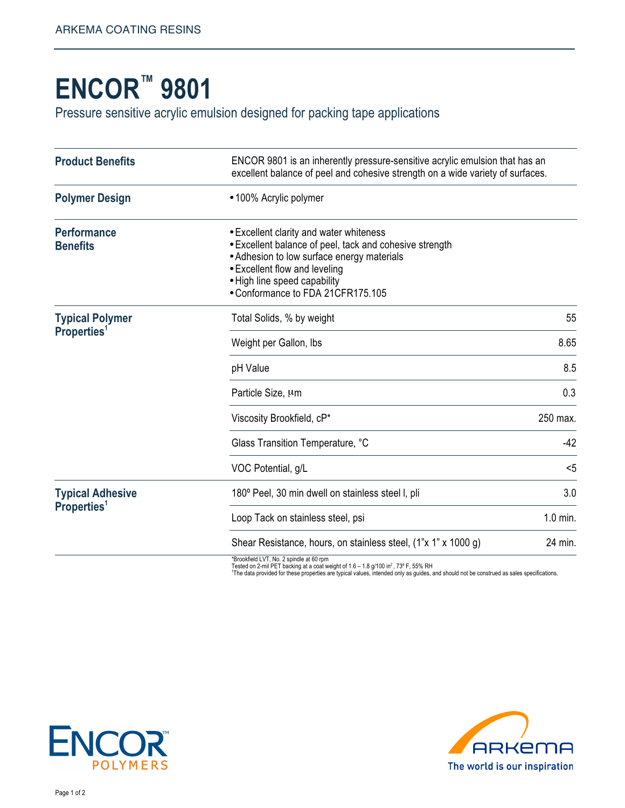## **ENCOR™ 9801**

Pressure sensitive acrylic emulsion designed for packing tape applications

| <b>Product Benefits</b>                            | ENCOR 9801 is an inherently pressure-sensitive acrylic emulsion that has an<br>excellent balance of peel and cohesive strength on a wide variety of surfaces.                                                                                          |          |
|----------------------------------------------------|--------------------------------------------------------------------------------------------------------------------------------------------------------------------------------------------------------------------------------------------------------|----------|
| <b>Polymer Design</b>                              | •100% Acrylic polymer                                                                                                                                                                                                                                  |          |
| <b>Performance</b><br><b>Benefits</b>              | • Excellent clarity and water whiteness<br>• Excellent balance of peel, tack and cohesive strength<br>• Adhesion to low surface energy materials<br>• Excellent flow and leveling<br>• High line speed capability<br>• Conformance to FDA 21CFR175.105 |          |
| <b>Typical Polymer</b><br>Properties <sup>1</sup>  | Total Solids, % by weight                                                                                                                                                                                                                              | 55       |
|                                                    | Weight per Gallon, Ibs                                                                                                                                                                                                                                 | 8.65     |
|                                                    | pH Value                                                                                                                                                                                                                                               | 8.5      |
|                                                    | Particle Size, um                                                                                                                                                                                                                                      | 0.3      |
|                                                    | Viscosity Brookfield, cP*                                                                                                                                                                                                                              | 250 max. |
|                                                    | Glass Transition Temperature, °C                                                                                                                                                                                                                       | $-42$    |
|                                                    | VOC Potential, g/L                                                                                                                                                                                                                                     | $5$      |
| <b>Typical Adhesive</b><br>Properties <sup>1</sup> | 180° Peel, 30 min dwell on stainless steel I, pli                                                                                                                                                                                                      | 3.0      |
|                                                    | Loop Tack on stainless steel, psi                                                                                                                                                                                                                      | 1.0 min. |
|                                                    | Shear Resistance, hours, on stainless steel, (1"x 1" x 1000 g)                                                                                                                                                                                         | 24 min.  |

\*Brookfield LVT, No. 2 spindle at 60 rpm<br>Tested on 2-mil PET backing at a coat weight of 1.6 – 1.8 g/100 in<sup>2</sup>, 73° F, 55% RH<br>'The data provided for these properties are typical values, intended only as guides, and should